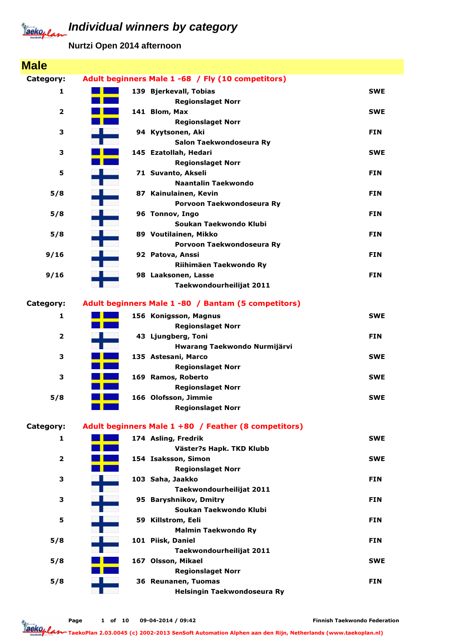**Nurtzi Open 2014 afternoon**

| <b>Male</b>             |                                                      |            |
|-------------------------|------------------------------------------------------|------------|
| Category:               | Adult beginners Male 1 -68 / Fly (10 competitors)    |            |
| 1                       | 139 Bjerkevall, Tobias                               | <b>SWE</b> |
|                         | <b>Regionslaget Norr</b>                             |            |
| $\overline{\mathbf{2}}$ | 141 Blom, Max                                        | <b>SWE</b> |
|                         | <b>Regionslaget Norr</b>                             |            |
| 3                       | 94 Kyytsonen, Aki                                    | <b>FIN</b> |
| 3                       | Salon Taekwondoseura Ry<br>145 Ezatollah, Hedari     | <b>SWE</b> |
|                         | <b>Regionslaget Norr</b>                             |            |
| 5                       | 71 Suvanto, Akseli                                   | <b>FIN</b> |
|                         | <b>Naantalin Taekwondo</b>                           |            |
| 5/8                     | 87 Kainulainen, Kevin                                | <b>FIN</b> |
|                         | Porvoon Taekwondoseura Ry                            |            |
| 5/8                     | 96 Tonnov, Ingo                                      | <b>FIN</b> |
|                         | Soukan Taekwondo Klubi                               |            |
| 5/8                     | 89 Voutilainen, Mikko                                | <b>FIN</b> |
| 9/16                    | Porvoon Taekwondoseura Ry<br>92 Patova, Anssi        | <b>FIN</b> |
|                         | Riihimäen Taekwondo Ry                               |            |
| 9/16                    | 98 Laaksonen, Lasse                                  | <b>FIN</b> |
|                         | Taekwondourheilijat 2011                             |            |
|                         |                                                      |            |
| Category:               | Adult beginners Male 1 -80 / Bantam (5 competitors)  |            |
| 1                       | 156 Konigsson, Magnus                                | <b>SWE</b> |
|                         | <b>Regionslaget Norr</b>                             |            |
| 2                       | 43 Ljungberg, Toni                                   | <b>FIN</b> |
| 3                       | Hwarang Taekwondo Nurmijärvi<br>135 Astesani, Marco  | <b>SWE</b> |
|                         | <b>Regionslaget Norr</b>                             |            |
| 3                       | 169 Ramos, Roberto                                   | <b>SWE</b> |
|                         | <b>Regionslaget Norr</b>                             |            |
| 5/8                     | 166 Olofsson, Jimmie                                 | <b>SWE</b> |
|                         | <b>Regionslaget Norr</b>                             |            |
|                         |                                                      |            |
| Category:               | Adult beginners Male 1 +80 / Feather (8 competitors) |            |
| 1                       | 174 Asling, Fredrik                                  | <b>SWE</b> |
| 2                       | Väster?s Hapk. TKD Klubb<br>154 Isaksson, Simon      | <b>SWE</b> |
|                         | <b>Regionslaget Norr</b>                             |            |
| 3                       | 103 Saha, Jaakko                                     | <b>FIN</b> |
|                         | Taekwondourheilijat 2011                             |            |
| 3                       | 95 Baryshnikov, Dmitry                               | <b>FIN</b> |
|                         | Soukan Taekwondo Klubi                               |            |
| 5                       | 59 Killstrom, Eeli                                   | <b>FIN</b> |
|                         | <b>Malmin Taekwondo Ry</b>                           |            |
| 5/8                     | 101 Piisk, Daniel                                    | <b>FIN</b> |
| 5/8                     | Taekwondourheilijat 2011<br>167 Olsson, Mikael       | <b>SWE</b> |
|                         | <b>Regionslaget Norr</b>                             |            |
| 5/8                     | 36 Reunanen, Tuomas                                  | <b>FIN</b> |
|                         | Helsingin Taekwondoseura Ry                          |            |
|                         |                                                      |            |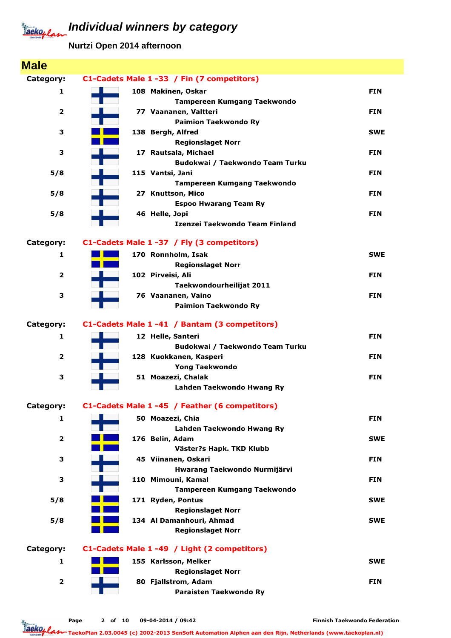**Nurtzi Open 2014 afternoon**

| <b>Male</b>             |                                                          |            |
|-------------------------|----------------------------------------------------------|------------|
| Category:               | C1-Cadets Male 1 -33 / Fin (7 competitors)               |            |
| 1                       | 108 Makinen, Oskar                                       | <b>FIN</b> |
|                         | <b>Tampereen Kumgang Taekwondo</b>                       |            |
| 2                       | 77 Vaananen, Valtteri                                    | <b>FIN</b> |
|                         | <b>Paimion Taekwondo Ry</b>                              |            |
| 3                       | 138 Bergh, Alfred                                        | <b>SWE</b> |
|                         | <b>Regionslaget Norr</b>                                 |            |
| 3                       | 17 Rautsala, Michael                                     | <b>FIN</b> |
| 5/8                     | Budokwai / Taekwondo Team Turku<br>115 Vantsi, Jani      | <b>FIN</b> |
|                         | Tampereen Kumgang Taekwondo                              |            |
| 5/8                     | 27 Knuttson, Mico                                        | <b>FIN</b> |
|                         | <b>Espoo Hwarang Team Ry</b>                             |            |
| 5/8                     | 46 Helle, Jopi                                           | <b>FIN</b> |
|                         | Izenzei Taekwondo Team Finland                           |            |
| Category:               | C1-Cadets Male 1 -37 / Fly (3 competitors)               |            |
| 1                       | 170 Ronnholm, Isak                                       | <b>SWE</b> |
|                         | <b>Regionslaget Norr</b>                                 |            |
| $\overline{2}$          | 102 Pirveisi, Ali                                        | <b>FIN</b> |
|                         | Taekwondourheilijat 2011                                 |            |
| 3                       | 76 Vaananen, Vaino                                       | <b>FIN</b> |
|                         | <b>Paimion Taekwondo Ry</b>                              |            |
| Category:               | C1-Cadets Male 1 -41 / Bantam (3 competitors)            |            |
| 1                       | 12 Helle, Santeri                                        | <b>FIN</b> |
|                         | Budokwai / Taekwondo Team Turku                          |            |
| $\overline{2}$          | 128 Kuokkanen, Kasperi                                   | <b>FIN</b> |
|                         | <b>Yong Taekwondo</b>                                    |            |
| 3                       | 51 Moazezi, Chalak                                       | <b>FIN</b> |
|                         | Lahden Taekwondo Hwang Ry                                |            |
| Category:               | C1-Cadets Male 1 -45 / Feather (6 competitors)           |            |
| 1                       | 50 Moazezi, Chia                                         | <b>FIN</b> |
|                         | Lahden Taekwondo Hwang Ry                                |            |
| $\overline{\mathbf{2}}$ | 176 Belin, Adam                                          | <b>SWE</b> |
|                         | Väster?s Hapk. TKD Klubb                                 |            |
| З                       | 45 Viinanen, Oskari                                      | <b>FIN</b> |
| З                       | Hwarang Taekwondo Nurmijärvi                             | <b>FIN</b> |
|                         | 110 Mimouni, Kamal<br><b>Tampereen Kumgang Taekwondo</b> |            |
| 5/8                     | 171 Ryden, Pontus                                        | <b>SWE</b> |
|                         | <b>Regionslaget Norr</b>                                 |            |
| 5/8                     | 134 Al Damanhouri, Ahmad                                 | <b>SWE</b> |
|                         | <b>Regionslaget Norr</b>                                 |            |
| Category:               | C1-Cadets Male 1 -49 / Light (2 competitors)             |            |
| 1                       | 155 Karlsson, Melker                                     | <b>SWE</b> |
|                         | <b>Regionslaget Norr</b>                                 |            |
| $\overline{\mathbf{2}}$ | 80 Fjallstrom, Adam                                      | <b>FIN</b> |
|                         | Paraisten Taekwondo Ry                                   |            |
|                         |                                                          |            |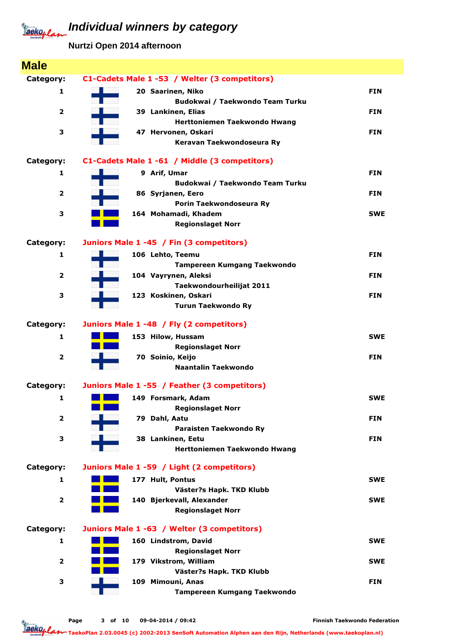**Nurtzi Open 2014 afternoon**

| <b>Male</b>             |                                               |            |
|-------------------------|-----------------------------------------------|------------|
| Category:               | C1-Cadets Male 1 -53 / Welter (3 competitors) |            |
| 1                       | 20 Saarinen, Niko                             | <b>FIN</b> |
|                         | Budokwai / Taekwondo Team Turku               |            |
| $\overline{\mathbf{2}}$ | 39 Lankinen, Elias                            | <b>FIN</b> |
|                         | Herttoniemen Taekwondo Hwang                  |            |
| З                       | 47 Hervonen, Oskari                           | <b>FIN</b> |
|                         | Keravan Taekwondoseura Ry                     |            |
| Category:               | C1-Cadets Male 1 -61 / Middle (3 competitors) |            |
| 1                       | 9 Arif, Umar                                  | <b>FIN</b> |
|                         | Budokwai / Taekwondo Team Turku               |            |
| 2                       | 86 Syrjanen, Eero                             | <b>FIN</b> |
|                         | Porin Taekwondoseura Ry                       |            |
| З                       | 164 Mohamadi, Khadem                          | <b>SWE</b> |
|                         | <b>Regionslaget Norr</b>                      |            |
| Category:               | Juniors Male 1 -45 / Fin (3 competitors)      |            |
| 1                       | 106 Lehto, Teemu                              | <b>FIN</b> |
|                         | <b>Tampereen Kumgang Taekwondo</b>            |            |
| $\overline{\mathbf{2}}$ | 104 Vayrynen, Aleksi                          | <b>FIN</b> |
|                         | Taekwondourheilijat 2011                      |            |
| З                       | 123 Koskinen, Oskari                          | <b>FIN</b> |
|                         | <b>Turun Taekwondo Ry</b>                     |            |
| Category:               | Juniors Male 1 -48 / Fly (2 competitors)      |            |
| 1                       | 153 Hilow, Hussam                             | <b>SWE</b> |
|                         | <b>Regionslaget Norr</b>                      |            |
| $\overline{\mathbf{2}}$ | 70 Soinio, Keijo                              | <b>FIN</b> |
|                         | Naantalin Taekwondo                           |            |
| Category:               | Juniors Male 1 -55 / Feather (3 competitors)  |            |
| 1                       | 149 Forsmark, Adam                            | <b>SWE</b> |
|                         | <b>Regionslaget Norr</b>                      |            |
| $\overline{\mathbf{2}}$ | 79 Dahl, Aatu                                 | <b>FIN</b> |
|                         | Paraisten Taekwondo Ry                        |            |
| З                       | 38 Lankinen, Eetu                             | <b>FIN</b> |
|                         | <b>Herttoniemen Taekwondo Hwang</b>           |            |
| Category:               | Juniors Male 1 -59 / Light (2 competitors)    |            |
| 1                       | 177 Hult, Pontus                              | <b>SWE</b> |
|                         | Väster?s Hapk. TKD Klubb                      |            |
| $\overline{\mathbf{2}}$ | 140 Bjerkevall, Alexander                     | <b>SWE</b> |
|                         | <b>Regionslaget Norr</b>                      |            |
| Category:               | Juniors Male 1 -63 / Welter (3 competitors)   |            |
| 1                       | 160 Lindstrom, David                          | <b>SWE</b> |
|                         | <b>Regionslaget Norr</b>                      |            |
| $\overline{\mathbf{2}}$ | 179 Vikstrom, William                         | <b>SWE</b> |
|                         | Väster?s Hapk. TKD Klubb                      |            |
| З                       | 109 Mimouni, Anas                             | <b>FIN</b> |
|                         | Tampereen Kumgang Taekwondo                   |            |
|                         |                                               |            |

Page 3 of 10 09-04-2014 / 09:42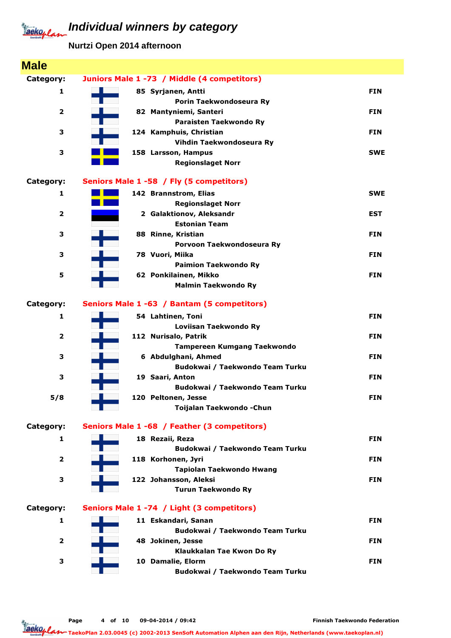**Nurtzi Open 2014 afternoon**

| <b>Male</b>             |                                                     |            |
|-------------------------|-----------------------------------------------------|------------|
| Category:               | Juniors Male 1 -73 / Middle (4 competitors)         |            |
| $\mathbf{1}$            | 85 Syrjanen, Antti                                  | <b>FIN</b> |
|                         | Porin Taekwondoseura Ry                             |            |
| $\overline{2}$          | 82 Mantyniemi, Santeri                              | <b>FIN</b> |
|                         | Paraisten Taekwondo Ry                              |            |
| З                       | 124 Kamphuis, Christian                             | <b>FIN</b> |
|                         | Vihdin Taekwondoseura Ry                            |            |
| 3                       | 158 Larsson, Hampus                                 | <b>SWE</b> |
|                         | <b>Regionslaget Norr</b>                            |            |
| Category:               | Seniors Male 1 -58 / Fly (5 competitors)            |            |
| 1                       | 142 Brannstrom, Elias                               | <b>SWE</b> |
|                         | <b>Regionslaget Norr</b>                            |            |
| $\overline{2}$          | 2 Galaktionov, Aleksandr                            | <b>EST</b> |
|                         | <b>Estonian Team</b>                                |            |
| 3                       | 88 Rinne, Kristian                                  | <b>FIN</b> |
|                         | Porvoon Taekwondoseura Ry                           |            |
| З                       | 78 Vuori, Miika                                     | <b>FIN</b> |
|                         | <b>Paimion Taekwondo Ry</b>                         |            |
| 5                       | 62 Ponkilainen, Mikko                               | <b>FIN</b> |
|                         | <b>Malmin Taekwondo Ry</b>                          |            |
| Category:               | Seniors Male 1 -63 / Bantam (5 competitors)         |            |
|                         |                                                     |            |
| $\mathbf{1}$            | 54 Lahtinen, Toni                                   | <b>FIN</b> |
|                         | Loviisan Taekwondo Ry                               |            |
| $\overline{\mathbf{2}}$ | 112 Nurisalo, Patrik<br>Tampereen Kumgang Taekwondo | <b>FIN</b> |
| 3                       | 6 Abdulghani, Ahmed                                 | <b>FIN</b> |
|                         | Budokwai / Taekwondo Team Turku                     |            |
| 3                       | 19 Saari, Anton                                     | <b>FIN</b> |
|                         | Budokwai / Taekwondo Team Turku                     |            |
| 5/8                     | 120 Peltonen, Jesse                                 | <b>FIN</b> |
|                         | Toijalan Taekwondo - Chun                           |            |
|                         |                                                     |            |
| Category:               | Seniors Male 1 -68 / Feather (3 competitors)        |            |
| 1                       | 18 Rezaii, Reza                                     | <b>FIN</b> |
|                         | Budokwai / Taekwondo Team Turku                     |            |
| $\overline{\mathbf{2}}$ | 118 Korhonen, Jyri                                  | <b>FIN</b> |
|                         | Tapiolan Taekwondo Hwang                            |            |
| 3                       | 122 Johansson, Aleksi<br><b>Turun Taekwondo Ry</b>  | <b>FIN</b> |
|                         |                                                     |            |
| Category:               | Seniors Male 1 -74 / Light (3 competitors)          |            |
| 1                       | 11 Eskandari, Sanan                                 | <b>FIN</b> |
|                         | Budokwai / Taekwondo Team Turku                     |            |
| $\overline{\mathbf{2}}$ | 48 Jokinen, Jesse                                   | <b>FIN</b> |
|                         | Klaukkalan Tae Kwon Do Ry                           |            |
| 3                       | 10 Damalie, Elorm                                   | <b>FIN</b> |
|                         | Budokwai / Taekwondo Team Turku                     |            |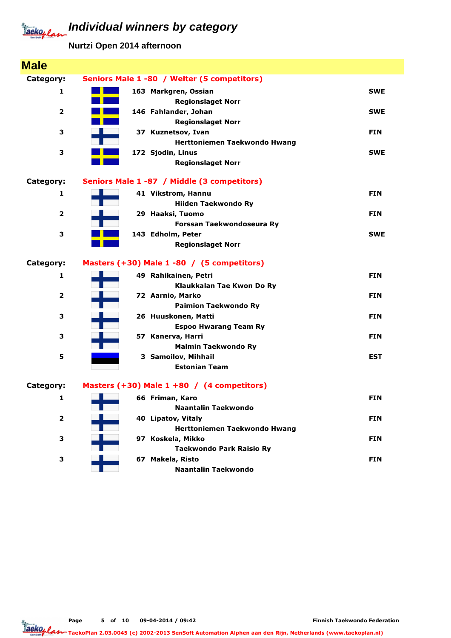**Nurtzi Open 2014 afternoon**

| <b>Male</b>             |                                                           |            |
|-------------------------|-----------------------------------------------------------|------------|
| Category:               | Seniors Male 1 -80 / Welter (5 competitors)               |            |
| 1                       | 163 Markgren, Ossian<br><b>Regionslaget Norr</b>          | <b>SWE</b> |
| $\overline{\mathbf{2}}$ | 146 Fahlander, Johan<br><b>Regionslaget Norr</b>          | <b>SWE</b> |
| 3                       | 37 Kuznetsov, Ivan<br>Herttoniemen Taekwondo Hwang        | <b>FIN</b> |
| 3                       | 172 Sjodin, Linus<br><b>Regionslaget Norr</b>             | <b>SWE</b> |
| Category:               | Seniors Male 1 -87 / Middle (3 competitors)               |            |
| 1                       | 41 Vikstrom, Hannu<br><b>Hiiden Taekwondo Ry</b>          | <b>FIN</b> |
| $\overline{2}$          | 29 Haaksi, Tuomo<br>Forssan Taekwondoseura Ry             | <b>FIN</b> |
| з                       | 143 Edholm, Peter<br><b>Regionslaget Norr</b>             | <b>SWE</b> |
| Category:               | Masters (+30) Male 1 -80 / (5 competitors)                |            |
| 1                       | 49 Rahikainen, Petri<br>Klaukkalan Tae Kwon Do Ry         | <b>FIN</b> |
| $\overline{\mathbf{2}}$ | 72 Aarnio, Marko<br><b>Paimion Taekwondo Ry</b>           | <b>FIN</b> |
| 3                       | 26 Huuskonen, Matti<br><b>Espoo Hwarang Team Ry</b>       | <b>FIN</b> |
| З                       | 57 Kanerva, Harri<br><b>Malmin Taekwondo Ry</b>           | <b>FIN</b> |
| 5                       | 3 Samoilov, Mihhail<br><b>Estonian Team</b>               | <b>EST</b> |
| Category:               | Masters $(+30)$ Male 1 +80 / (4 competitors)              |            |
| 1                       | 66 Friman, Karo<br><b>Naantalin Taekwondo</b>             | <b>FIN</b> |
| $\overline{2}$          | 40 Lipatov, Vitaly<br><b>Herttoniemen Taekwondo Hwang</b> | <b>FIN</b> |
| З                       | 97 Koskela, Mikko<br><b>Taekwondo Park Raisio Ry</b>      | <b>FIN</b> |
| 3                       | 67 Makela, Risto<br><b>Naantalin Taekwondo</b>            | <b>FIN</b> |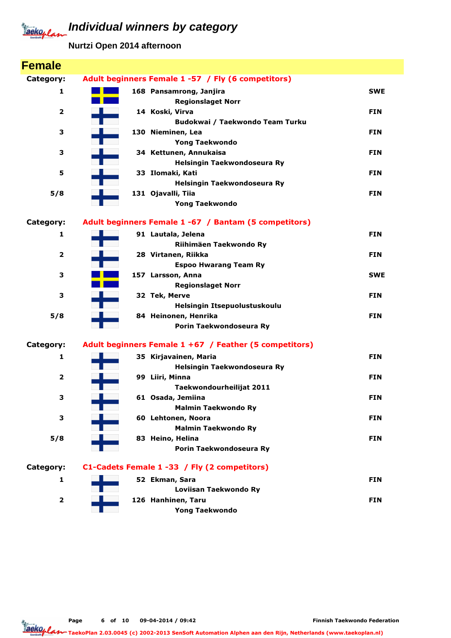**Nurtzi Open 2014 afternoon**

| <b>Female</b>           |                                                        |            |
|-------------------------|--------------------------------------------------------|------------|
| Category:               | Adult beginners Female 1 -57 / Fly (6 competitors)     |            |
| 1                       | 168 Pansamrong, Janjira<br><b>Regionslaget Norr</b>    | <b>SWE</b> |
| $\overline{\mathbf{2}}$ | 14 Koski, Virva                                        | <b>FIN</b> |
|                         | Budokwai / Taekwondo Team Turku                        |            |
| 3                       | 130 Nieminen, Lea                                      | <b>FIN</b> |
|                         | <b>Yong Taekwondo</b>                                  |            |
| з                       | 34 Kettunen, Annukaisa                                 | <b>FIN</b> |
|                         | Helsingin Taekwondoseura Ry                            |            |
| 5                       | 33 Ilomaki, Kati                                       | <b>FIN</b> |
|                         | Helsingin Taekwondoseura Ry                            |            |
| 5/8                     | 131 Ojavalli, Tiia                                     | <b>FIN</b> |
|                         | <b>Yong Taekwondo</b>                                  |            |
| Category:               | Adult beginners Female 1 -67 / Bantam (5 competitors)  |            |
| 1                       | 91 Lautala, Jelena                                     | <b>FIN</b> |
|                         | Riihimäen Taekwondo Ry                                 |            |
| $\overline{\mathbf{2}}$ | 28 Virtanen, Riikka                                    | <b>FIN</b> |
|                         | <b>Espoo Hwarang Team Ry</b>                           |            |
| з                       | 157 Larsson, Anna                                      | <b>SWE</b> |
|                         | <b>Regionslaget Norr</b>                               |            |
| 3                       | 32 Tek, Merve                                          | <b>FIN</b> |
|                         | Helsingin Itsepuolustuskoulu                           |            |
| 5/8                     | 84 Heinonen, Henrika                                   | <b>FIN</b> |
|                         | Porin Taekwondoseura Ry                                |            |
| Category:               | Adult beginners Female 1 +67 / Feather (5 competitors) |            |
| 1                       | 35 Kirjavainen, Maria                                  | <b>FIN</b> |
|                         | Helsingin Taekwondoseura Ry                            |            |
| $\overline{\mathbf{2}}$ | 99 Liiri, Minna                                        | <b>FIN</b> |
|                         | Taekwondourheilijat 2011                               |            |
| з                       | 61 Osada, Jemiina                                      | <b>FIN</b> |
|                         | <b>Malmin Taekwondo Ry</b>                             |            |
| 3                       | 60 Lehtonen, Noora                                     | <b>FIN</b> |
|                         | <b>Malmin Taekwondo Ry</b>                             |            |
| 5/8                     | 83 Heino, Helina<br>Porin Taekwondoseura Ry            | <b>FIN</b> |
|                         |                                                        |            |
| Category:               | C1-Cadets Female 1 -33 / Fly (2 competitors)           |            |
| 1                       | 52 Ekman, Sara                                         | <b>FIN</b> |
|                         | Loviisan Taekwondo Ry                                  |            |
| $\overline{\mathbf{2}}$ | 126 Hanhinen, Taru                                     | <b>FIN</b> |
|                         | <b>Yong Taekwondo</b>                                  |            |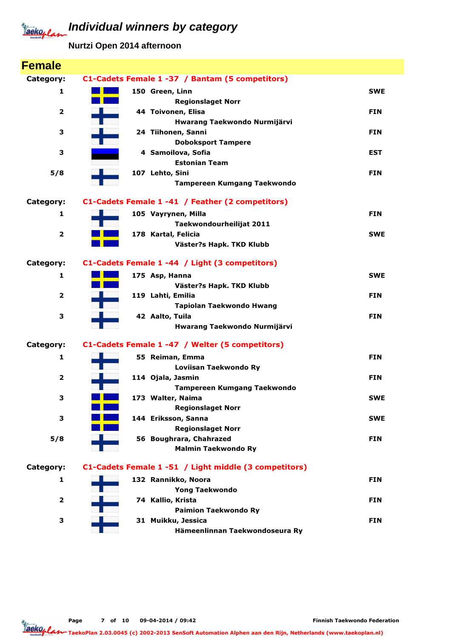**Nurtzi Open 2014 afternoon**

| <b>Female</b>           |                                                       |            |
|-------------------------|-------------------------------------------------------|------------|
| Category:               | C1-Cadets Female 1 -37 / Bantam (5 competitors)       |            |
| 1                       | 150 Green, Linn                                       | <b>SWE</b> |
|                         | <b>Regionslaget Norr</b>                              |            |
| $\overline{\mathbf{2}}$ | 44 Toivonen, Elisa                                    | <b>FIN</b> |
|                         | Hwarang Taekwondo Nurmijärvi                          |            |
| 3                       | 24 Tiihonen, Sanni                                    | <b>FIN</b> |
|                         | <b>Doboksport Tampere</b>                             |            |
| 3                       | 4 Samoilova, Sofia<br><b>Estonian Team</b>            | EST        |
| 5/8                     | 107 Lehto, Sini                                       | <b>FIN</b> |
|                         | <b>Tampereen Kumgang Taekwondo</b>                    |            |
|                         |                                                       |            |
| Category:               | C1-Cadets Female 1 -41 / Feather (2 competitors)      |            |
| 1                       | 105 Vayrynen, Milla                                   | <b>FIN</b> |
|                         | Taekwondourheilijat 2011                              |            |
| $\overline{\mathbf{2}}$ | 178 Kartal, Felicia                                   | <b>SWE</b> |
|                         | Väster?s Hapk. TKD Klubb                              |            |
| Category:               | C1-Cadets Female 1 -44 / Light (3 competitors)        |            |
| 1                       | 175 Asp, Hanna                                        | <b>SWE</b> |
|                         | Väster?s Hapk. TKD Klubb                              |            |
| $\overline{2}$          | 119 Lahti, Emilia                                     | <b>FIN</b> |
|                         | Tapiolan Taekwondo Hwang                              |            |
| 3                       | 42 Aalto, Tuila                                       | <b>FIN</b> |
|                         | Hwarang Taekwondo Nurmijärvi                          |            |
| Category:               | C1-Cadets Female 1 -47 / Welter (5 competitors)       |            |
| 1                       | 55 Reiman, Emma                                       | <b>FIN</b> |
|                         | Loviisan Taekwondo Ry                                 |            |
| $\overline{\mathbf{2}}$ | 114 Ojala, Jasmin                                     | <b>FIN</b> |
|                         | <b>Tampereen Kumgang Taekwondo</b>                    |            |
| з                       | 173 Walter, Naima                                     | <b>SWE</b> |
|                         | <b>Regionslaget Norr</b>                              |            |
| 3                       | 144 Eriksson, Sanna<br><b>Regionslaget Norr</b>       | <b>SWE</b> |
| 5/8                     | 56 Boughrara, Chahrazed                               | <b>FIN</b> |
|                         | <b>Malmin Taekwondo Ry</b>                            |            |
|                         |                                                       |            |
| Category:               | C1-Cadets Female 1 -51 / Light middle (3 competitors) |            |
| 1                       | 132 Rannikko, Noora                                   | <b>FIN</b> |
|                         | <b>Yong Taekwondo</b>                                 |            |
| 2                       | 74 Kallio, Krista                                     | <b>FIN</b> |
|                         | <b>Paimion Taekwondo Ry</b>                           |            |
| 3                       | 31 Muikku, Jessica<br>Hämeenlinnan Taekwondoseura Ry  | <b>FIN</b> |
|                         |                                                       |            |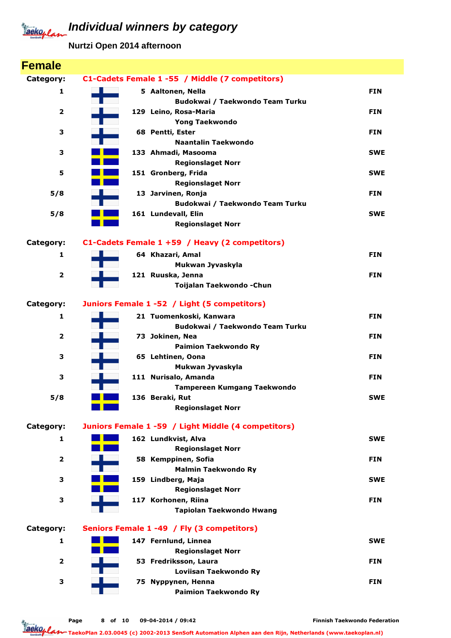**Nurtzi Open 2014 afternoon**

| <b>Female</b>           |                                                            |            |
|-------------------------|------------------------------------------------------------|------------|
| Category:               | C1-Cadets Female 1-55 / Middle (7 competitors)             |            |
| 1                       | 5 Aaltonen, Nella                                          | <b>FIN</b> |
|                         | Budokwai / Taekwondo Team Turku                            |            |
| 2                       | 129 Leino, Rosa-Maria                                      | <b>FIN</b> |
|                         | <b>Yong Taekwondo</b>                                      |            |
| 3                       | 68 Pentti, Ester                                           | <b>FIN</b> |
|                         | Naantalin Taekwondo                                        |            |
| 3                       | 133 Ahmadi, Masooma                                        | <b>SWE</b> |
|                         | <b>Regionslaget Norr</b>                                   |            |
| 5                       | 151 Gronberg, Frida                                        | <b>SWE</b> |
| 5/8                     | <b>Regionslaget Norr</b><br>13 Jarvinen, Ronja             | <b>FIN</b> |
|                         | Budokwai / Taekwondo Team Turku                            |            |
| 5/8                     | 161 Lundevall, Elin                                        | <b>SWE</b> |
|                         | <b>Regionslaget Norr</b>                                   |            |
|                         |                                                            |            |
| Category:               | C1-Cadets Female 1 +59 / Heavy (2 competitors)             |            |
| 1                       | 64 Khazari, Amal                                           | <b>FIN</b> |
|                         | Mukwan Jyvaskyla                                           |            |
| $\mathbf{2}$            | 121 Ruuska, Jenna                                          | <b>FIN</b> |
|                         | Toijalan Taekwondo - Chun                                  |            |
| Category:               | Juniors Female 1 -52 / Light (5 competitors)               |            |
| 1                       | 21 Tuomenkoski, Kanwara                                    | <b>FIN</b> |
|                         | Budokwai / Taekwondo Team Turku                            |            |
| $\overline{\mathbf{2}}$ | 73 Jokinen, Nea                                            | <b>FIN</b> |
|                         | <b>Paimion Taekwondo Ry</b>                                |            |
| з                       | 65 Lehtinen, Oona                                          | <b>FIN</b> |
| 3                       | Mukwan Jyvaskyla                                           | <b>FIN</b> |
|                         | 111 Nurisalo, Amanda<br><b>Tampereen Kumgang Taekwondo</b> |            |
| 5/8                     | 136 Beraki, Rut                                            | <b>SWE</b> |
|                         | <b>Regionslaget Norr</b>                                   |            |
|                         |                                                            |            |
| Category:               | Juniors Female 1 -59 / Light Middle (4 competitors)        |            |
| 1                       | 162 Lundkvist, Alva                                        | <b>SWE</b> |
|                         | <b>Regionslaget Norr</b>                                   |            |
| $\overline{2}$          | 58 Kemppinen, Sofia                                        | <b>FIN</b> |
|                         | <b>Malmin Taekwondo Ry</b>                                 |            |
| з                       | 159 Lindberg, Maja                                         | <b>SWE</b> |
|                         | <b>Regionslaget Norr</b>                                   |            |
| 3                       | 117 Korhonen, Riina                                        | <b>FIN</b> |
|                         | Tapiolan Taekwondo Hwang                                   |            |
| Category:               | Seniors Female 1 -49 / Fly (3 competitors)                 |            |
| 1                       | 147 Fernlund, Linnea                                       | <b>SWE</b> |
|                         | <b>Regionslaget Norr</b>                                   |            |
| 2                       | 53 Fredriksson, Laura                                      | <b>FIN</b> |
|                         | Loviisan Taekwondo Ry                                      |            |
| 3                       | 75 Nyppynen, Henna                                         | <b>FIN</b> |
|                         | <b>Paimion Taekwondo Ry</b>                                |            |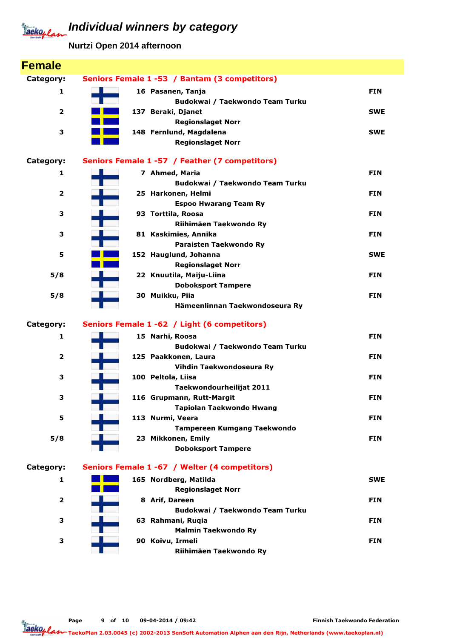**Nurtzi Open 2014 afternoon**

| <b>Female</b>           |                                                       |            |
|-------------------------|-------------------------------------------------------|------------|
| Category:               | Seniors Female 1 -53 / Bantam (3 competitors)         |            |
| 1                       | 16 Pasanen, Tanja                                     | <b>FIN</b> |
|                         | Budokwai / Taekwondo Team Turku                       |            |
| $\overline{\mathbf{2}}$ | 137 Beraki, Djanet                                    | <b>SWE</b> |
|                         | <b>Regionslaget Norr</b>                              |            |
| 3                       | 148 Fernlund, Magdalena                               | <b>SWE</b> |
|                         | <b>Regionslaget Norr</b>                              |            |
| Category:               | Seniors Female 1 -57 / Feather (7 competitors)        |            |
| 1                       | 7 Ahmed, Maria                                        | <b>FIN</b> |
|                         | Budokwai / Taekwondo Team Turku                       |            |
| $\overline{\mathbf{2}}$ | 25 Harkonen, Helmi                                    | <b>FIN</b> |
|                         | <b>Espoo Hwarang Team Ry</b>                          |            |
| 3                       | 93 Torttila, Roosa                                    | <b>FIN</b> |
|                         | Riihimäen Taekwondo Ry                                |            |
| 3                       | 81 Kaskimies, Annika                                  | <b>FIN</b> |
|                         | Paraisten Taekwondo Ry                                |            |
| 5                       | 152 Hauglund, Johanna                                 | <b>SWE</b> |
|                         | <b>Regionslaget Norr</b>                              |            |
| 5/8                     | 22 Knuutila, Maiju-Liina                              | <b>FIN</b> |
| 5/8                     | <b>Doboksport Tampere</b><br>30 Muikku, Piia          | <b>FIN</b> |
|                         | Hämeenlinnan Taekwondoseura Ry                        |            |
|                         |                                                       |            |
| Category:               | Seniors Female 1 -62 / Light (6 competitors)          |            |
| 1                       | 15 Narhi, Roosa                                       | <b>FIN</b> |
|                         | Budokwai / Taekwondo Team Turku                       |            |
| $\overline{\mathbf{2}}$ | 125 Paakkonen, Laura                                  | <b>FIN</b> |
|                         | Vihdin Taekwondoseura Ry                              |            |
| 3                       | 100 Peltola, Liisa                                    | <b>FIN</b> |
|                         | Taekwondourheilijat 2011                              |            |
| з                       | 116 Grupmann, Rutt-Margit<br>Tapiolan Taekwondo Hwang | <b>FIN</b> |
| 5                       | 113 Nurmi, Veera                                      | <b>FIN</b> |
|                         | <b>Tampereen Kumgang Taekwondo</b>                    |            |
| 5/8                     | 23 Mikkonen, Emily                                    | <b>FIN</b> |
|                         | <b>Doboksport Tampere</b>                             |            |
|                         |                                                       |            |
| Category:               | Seniors Female 1 -67 / Welter (4 competitors)         |            |
| 1                       | 165 Nordberg, Matilda                                 | <b>SWE</b> |
|                         | <b>Regionslaget Norr</b>                              |            |
| $\overline{\mathbf{2}}$ | 8 Arif, Dareen                                        | <b>FIN</b> |
|                         | Budokwai / Taekwondo Team Turku                       |            |
| 3                       | 63 Rahmani, Ruqia                                     | <b>FIN</b> |
|                         | <b>Malmin Taekwondo Ry</b>                            |            |
| 3                       | 90 Koivu, Irmeli                                      | <b>FIN</b> |
|                         | Riihimäen Taekwondo Ry                                |            |